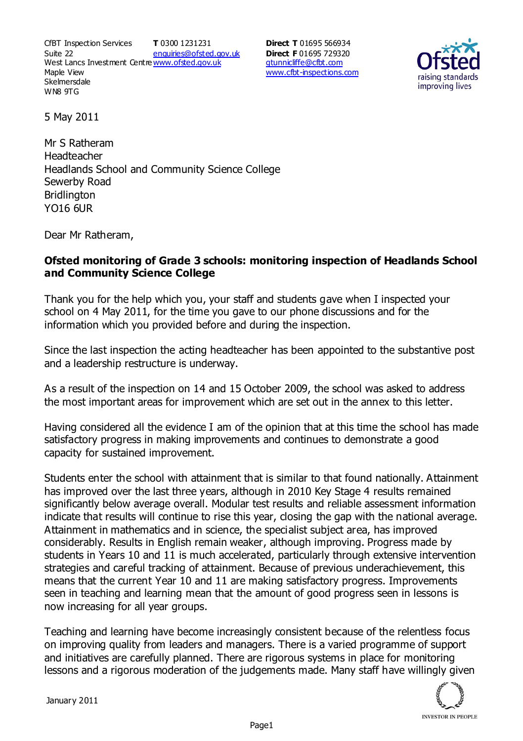CfBT Inspection Services Suite 22 West Lancs Investment Centre<u>www.ofsted.gov.uk</u> Maple View **Skelmersdale** WN8 9TG **T** 0300 1231231 enquiries@ofsted.gov.uk

**Direct T** 01695 566934 **Direct F** 01695 729320 gtunnicliffe@cfbt.com www.cfbt-inspections.com



5 May 2011

Mr S Ratheram Headteacher Headlands School and Community Science College Sewerby Road **Bridlington** YO16 6UR

Dear Mr Ratheram,

## **Ofsted monitoring of Grade 3 schools: monitoring inspection of Headlands School and Community Science College**

Thank you for the help which you, your staff and students gave when I inspected your school on 4 May 2011, for the time you gave to our phone discussions and for the information which you provided before and during the inspection.

Since the last inspection the acting headteacher has been appointed to the substantive post and a leadership restructure is underway.

As a result of the inspection on 14 and 15 October 2009, the school was asked to address the most important areas for improvement which are set out in the annex to this letter.

Having considered all the evidence I am of the opinion that at this time the school has made satisfactory progress in making improvements and continues to demonstrate a good capacity for sustained improvement.

Students enter the school with attainment that is similar to that found nationally. Attainment has improved over the last three years, although in 2010 Key Stage 4 results remained significantly below average overall. Modular test results and reliable assessment information indicate that results will continue to rise this year, closing the gap with the national average. Attainment in mathematics and in science, the specialist subject area, has improved considerably. Results in English remain weaker, although improving. Progress made by students in Years 10 and 11 is much accelerated, particularly through extensive intervention strategies and careful tracking of attainment. Because of previous underachievement, this means that the current Year 10 and 11 are making satisfactory progress. Improvements seen in teaching and learning mean that the amount of good progress seen in lessons is now increasing for all year groups.

Teaching and learning have become increasingly consistent because of the relentless focus on improving quality from leaders and managers. There is a varied programme of support and initiatives are carefully planned. There are rigorous systems in place for monitoring lessons and a rigorous moderation of the judgements made. Many staff have willingly given

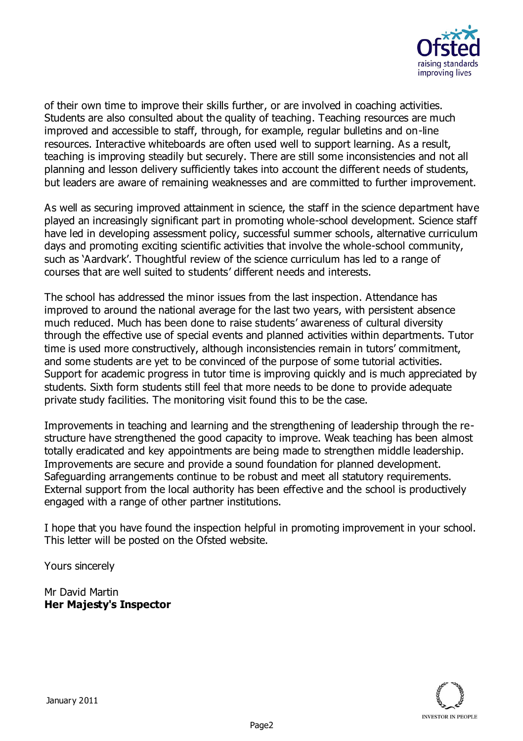

of their own time to improve their skills further, or are involved in coaching activities. Students are also consulted about the quality of teaching. Teaching resources are much improved and accessible to staff, through, for example, regular bulletins and on-line resources. Interactive whiteboards are often used well to support learning. As a result, teaching is improving steadily but securely. There are still some inconsistencies and not all planning and lesson delivery sufficiently takes into account the different needs of students, but leaders are aware of remaining weaknesses and are committed to further improvement.

As well as securing improved attainment in science, the staff in the science department have played an increasingly significant part in promoting whole-school development. Science staff have led in developing assessment policy, successful summer schools, alternative curriculum days and promoting exciting scientific activities that involve the whole-school community, such as 'Aardvark'. Thoughtful review of the science curriculum has led to a range of courses that are well suited to students' different needs and interests.

The school has addressed the minor issues from the last inspection. Attendance has improved to around the national average for the last two years, with persistent absence much reduced. Much has been done to raise students' awareness of cultural diversity through the effective use of special events and planned activities within departments. Tutor time is used more constructively, although inconsistencies remain in tutors' commitment, and some students are yet to be convinced of the purpose of some tutorial activities. Support for academic progress in tutor time is improving quickly and is much appreciated by students. Sixth form students still feel that more needs to be done to provide adequate private study facilities. The monitoring visit found this to be the case.

Improvements in teaching and learning and the strengthening of leadership through the restructure have strengthened the good capacity to improve. Weak teaching has been almost totally eradicated and key appointments are being made to strengthen middle leadership. Improvements are secure and provide a sound foundation for planned development. Safeguarding arrangements continue to be robust and meet all statutory requirements. External support from the local authority has been effective and the school is productively engaged with a range of other partner institutions.

I hope that you have found the inspection helpful in promoting improvement in your school. This letter will be posted on the Ofsted website.

Yours sincerely

Mr David Martin **Her Majesty's Inspector**